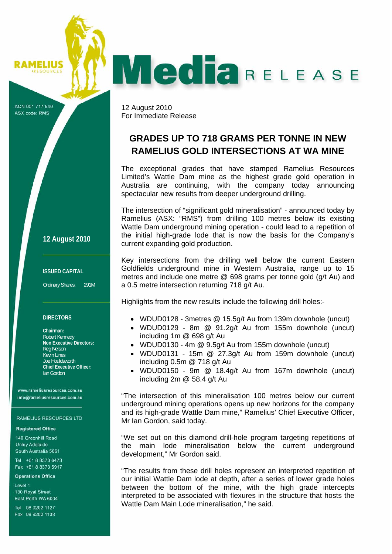## AMELIUS

# **Media**RELEASE

ACN 001 717 540 ASX code: RMS

12 August 2010 For Immediate Release

# **GRADES UP TO 718 GRAMS PER TONNE IN NEW RAMELIUS GOLD INTERSECTIONS AT WA MINE**

The exceptional grades that have stamped Ramelius Resources Limited's Wattle Dam mine as the highest grade gold operation in Australia are continuing, with the company today announcing spectacular new results from deeper underground drilling.

The intersection of "significant gold mineralisation" - announced today by Ramelius (ASX: "RMS") from drilling 100 metres below its existing Wattle Dam underground mining operation - could lead to a repetition of the initial high-grade lode that is now the basis for the Company's current expanding gold production.

Key intersections from the drilling well below the current Eastern Goldfields underground mine in Western Australia, range up to 15 metres and include one metre @ 698 grams per tonne gold (g/t Au) and a 0.5 metre intersection returning 718 g/t Au.

Highlights from the new results include the following drill holes:-

- WDUD0128 3metres @ 15.5g/t Au from 139m downhole (uncut)
- WDUD0129 8m @ 91.2g/t Au from 155m downhole (uncut) including 1m @ 698 g/t Au
- WDUD0130 4m @ 9.5g/t Au from 155m downhole (uncut)
- WDUD0131 15m @ 27.3g/t Au from 159m downhole (uncut) including 0.5m @ 718 g/t Au
- WDUD0150 9m @ 18.4g/t Au from 167m downhole (uncut) including 2m @ 58.4 g/t Au

"The intersection of this mineralisation 100 metres below our current underground mining operations opens up new horizons for the company and its high-grade Wattle Dam mine," Ramelius' Chief Executive Officer, Mr Ian Gordon, said today.

"We set out on this diamond drill-hole program targeting repetitions of the main lode mineralisation below the current underground development," Mr Gordon said.

"The results from these drill holes represent an interpreted repetition of our initial Wattle Dam lode at depth, after a series of lower grade holes between the bottom of the mine, with the high grade intercepts interpreted to be associated with flexures in the structure that hosts the Wattle Dam Main Lode mineralisation," he said.

**12 August 2010**

#### **ISSUED CAPITAL**

Ordinary Shares: 291M

#### **DIRECTORS**

**Chairman:**  Robert Kennedy **Non Executive Directors:**  Reg Nelson Kevin Lines Joe Houldsworth **Chief Executive Officer:**  Ian Gordon

www.rameliusresources.com.au info@rameliusresources.com.au

#### **RAMELIUS RESOURCES LTD**

#### **Registered Office**

140 Greenhill Road **Unlev Adelaide** South Australia 5061

Tel +61 8 8373 6473 Fax +61 8 8373 5917

#### **Operations Office**

Level 1 130 Royal Street East Perth WA 6004

Tel 08 9202 1127 Fax 08 9202 1138